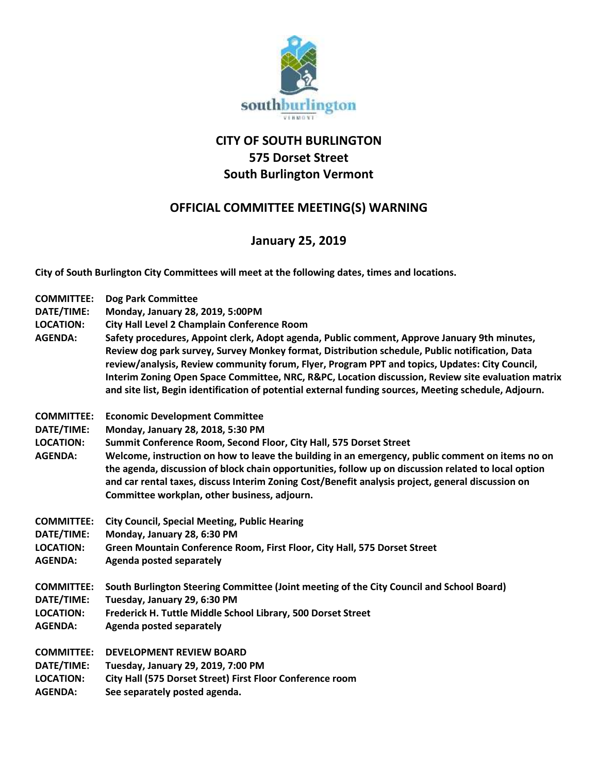

## **CITY OF SOUTH BURLINGTON 575 Dorset Street South Burlington Vermont**

## **OFFICIAL COMMITTEE MEETING(S) WARNING**

## **January 25, 2019**

**City of South Burlington City Committees will meet at the following dates, times and locations.** 

| <b>COMMITTEE:</b>                  | <b>Dog Park Committee</b>                                                                                                                                                                                                                                                                                                                                                                                                                                                                                       |
|------------------------------------|-----------------------------------------------------------------------------------------------------------------------------------------------------------------------------------------------------------------------------------------------------------------------------------------------------------------------------------------------------------------------------------------------------------------------------------------------------------------------------------------------------------------|
| DATE/TIME:                         | Monday, January 28, 2019, 5:00PM                                                                                                                                                                                                                                                                                                                                                                                                                                                                                |
| <b>LOCATION:</b>                   | City Hall Level 2 Champlain Conference Room                                                                                                                                                                                                                                                                                                                                                                                                                                                                     |
| <b>AGENDA:</b>                     | Safety procedures, Appoint clerk, Adopt agenda, Public comment, Approve January 9th minutes,<br>Review dog park survey, Survey Monkey format, Distribution schedule, Public notification, Data<br>review/analysis, Review community forum, Flyer, Program PPT and topics, Updates: City Council,<br>Interim Zoning Open Space Committee, NRC, R&PC, Location discussion, Review site evaluation matrix<br>and site list, Begin identification of potential external funding sources, Meeting schedule, Adjourn. |
| <b>COMMITTEE:</b>                  | <b>Economic Development Committee</b>                                                                                                                                                                                                                                                                                                                                                                                                                                                                           |
| DATE/TIME:                         | Monday, January 28, 2018, 5:30 PM                                                                                                                                                                                                                                                                                                                                                                                                                                                                               |
| <b>LOCATION:</b>                   | Summit Conference Room, Second Floor, City Hall, 575 Dorset Street                                                                                                                                                                                                                                                                                                                                                                                                                                              |
| <b>AGENDA:</b>                     | Welcome, instruction on how to leave the building in an emergency, public comment on items no on<br>the agenda, discussion of block chain opportunities, follow up on discussion related to local option<br>and car rental taxes, discuss Interim Zoning Cost/Benefit analysis project, general discussion on<br>Committee workplan, other business, adjourn.                                                                                                                                                   |
| <b>COMMITTEE:</b>                  | <b>City Council, Special Meeting, Public Hearing</b>                                                                                                                                                                                                                                                                                                                                                                                                                                                            |
| DATE/TIME:                         | Monday, January 28, 6:30 PM                                                                                                                                                                                                                                                                                                                                                                                                                                                                                     |
| <b>LOCATION:</b><br><b>AGENDA:</b> | Green Mountain Conference Room, First Floor, City Hall, 575 Dorset Street<br><b>Agenda posted separately</b>                                                                                                                                                                                                                                                                                                                                                                                                    |
| <b>COMMITTEE:</b><br>DATE/TIME:    | South Burlington Steering Committee (Joint meeting of the City Council and School Board)<br>Tuesday, January 29, 6:30 PM                                                                                                                                                                                                                                                                                                                                                                                        |
| <b>LOCATION:</b>                   | Frederick H. Tuttle Middle School Library, 500 Dorset Street                                                                                                                                                                                                                                                                                                                                                                                                                                                    |
| <b>AGENDA:</b>                     | <b>Agenda posted separately</b>                                                                                                                                                                                                                                                                                                                                                                                                                                                                                 |
| <b>COMMITTEE:</b>                  | <b>DEVELOPMENT REVIEW BOARD</b>                                                                                                                                                                                                                                                                                                                                                                                                                                                                                 |
| DATE/TIME:                         | Tuesday, January 29, 2019, 7:00 PM                                                                                                                                                                                                                                                                                                                                                                                                                                                                              |
| <b>LOCATION:</b>                   | City Hall (575 Dorset Street) First Floor Conference room                                                                                                                                                                                                                                                                                                                                                                                                                                                       |
| <b>AGENDA:</b>                     | See separately posted agenda.                                                                                                                                                                                                                                                                                                                                                                                                                                                                                   |